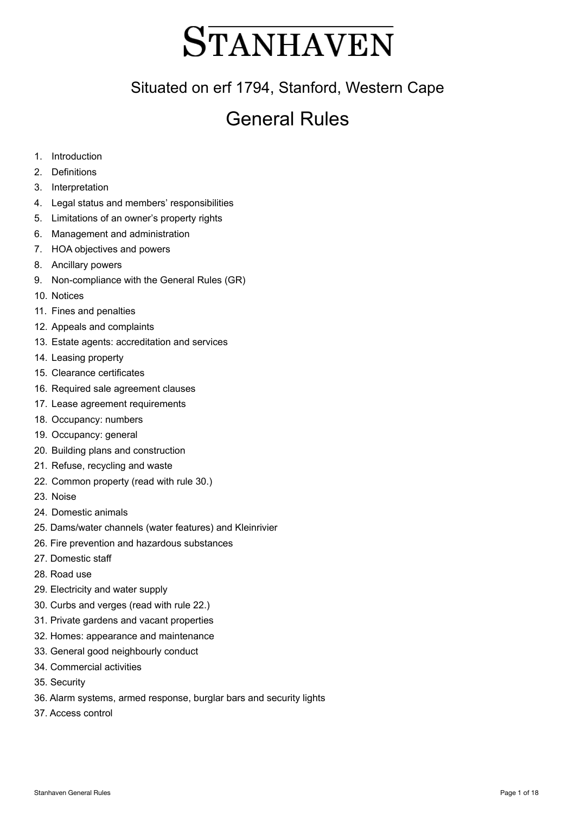# **STANHAVEN**

# Situated on erf 1794, Stanford, Western Cape

# General Rules

- 1. Introduction
- 2. Definitions
- 3. Interpretation
- 4. Legal status and members' responsibilities
- 5. Limitations of an owner's property rights
- 6. Management and administration
- 7. HOA objectives and powers
- 8. Ancillary powers
- 9. Non-compliance with the General Rules (GR)
- 10. Notices
- 11. Fines and penalties
- 12. Appeals and complaints
- 13. Estate agents: accreditation and services
- 14. Leasing property
- 15. Clearance certificates
- 16. Required sale agreement clauses
- 17. Lease agreement requirements
- 18. Occupancy: numbers
- 19. Occupancy: general
- 20. Building plans and construction
- 21. Refuse, recycling and waste
- 22. Common property (read with rule 30.)
- 23. Noise
- 24. Domestic animals
- 25. Dams/water channels (water features) and Kleinrivier
- 26. Fire prevention and hazardous substances
- 27. Domestic staff
- 28. Road use
- 29. Electricity and water supply
- 30. Curbs and verges (read with rule 22.)
- 31. Private gardens and vacant properties
- 32. Homes: appearance and maintenance
- 33. General good neighbourly conduct
- 34. Commercial activities
- 35. Security
- 36. Alarm systems, armed response, burglar bars and security lights
- 37. Access control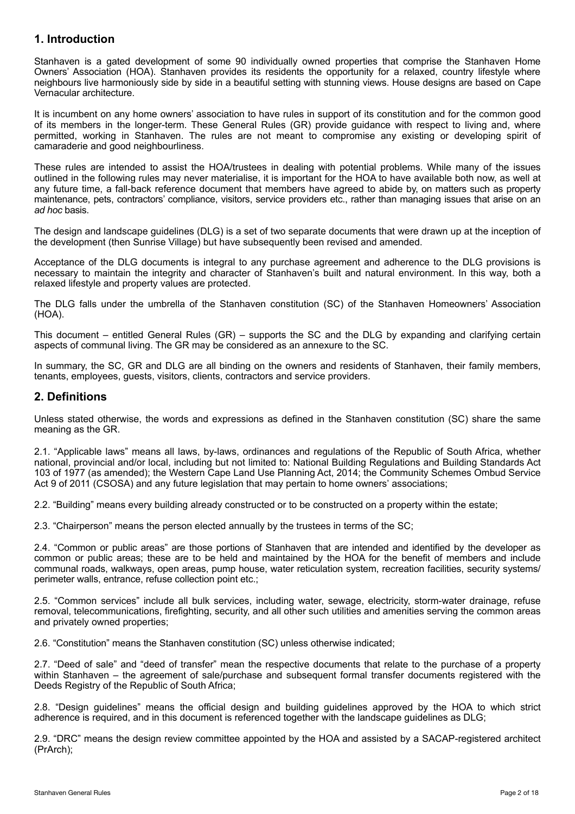# **1. Introduction**

Stanhaven is a gated development of some 90 individually owned properties that comprise the Stanhaven Home Owners' Association (HOA). Stanhaven provides its residents the opportunity for a relaxed, country lifestyle where neighbours live harmoniously side by side in a beautiful setting with stunning views. House designs are based on Cape Vernacular architecture.

It is incumbent on any home owners' association to have rules in support of its constitution and for the common good of its members in the longer-term. These General Rules (GR) provide guidance with respect to living and, where permitted, working in Stanhaven. The rules are not meant to compromise any existing or developing spirit of camaraderie and good neighbourliness.

These rules are intended to assist the HOA/trustees in dealing with potential problems. While many of the issues outlined in the following rules may never materialise, it is important for the HOA to have available both now, as well at any future time, a fall-back reference document that members have agreed to abide by, on matters such as property maintenance, pets, contractors' compliance, visitors, service providers etc., rather than managing issues that arise on an *ad hoc* basis.

The design and landscape guidelines (DLG) is a set of two separate documents that were drawn up at the inception of the development (then Sunrise Village) but have subsequently been revised and amended.

Acceptance of the DLG documents is integral to any purchase agreement and adherence to the DLG provisions is necessary to maintain the integrity and character of Stanhaven's built and natural environment. In this way, both a relaxed lifestyle and property values are protected.

The DLG falls under the umbrella of the Stanhaven constitution (SC) of the Stanhaven Homeowners' Association (HOA).

This document – entitled General Rules (GR) – supports the SC and the DLG by expanding and clarifying certain aspects of communal living. The GR may be considered as an annexure to the SC.

In summary, the SC, GR and DLG are all binding on the owners and residents of Stanhaven, their family members, tenants, employees, guests, visitors, clients, contractors and service providers.

# **2. Definitions**

Unless stated otherwise, the words and expressions as defined in the Stanhaven constitution (SC) share the same meaning as the GR.

2.1. "Applicable laws" means all laws, by-laws, ordinances and regulations of the Republic of South Africa, whether national, provincial and/or local, including but not limited to: National Building Regulations and Building Standards Act 103 of 1977 (as amended); the Western Cape Land Use Planning Act, 2014; the Community Schemes Ombud Service Act 9 of 2011 (CSOSA) and any future legislation that may pertain to home owners' associations;

2.2. "Building" means every building already constructed or to be constructed on a property within the estate;

2.3. "Chairperson" means the person elected annually by the trustees in terms of the SC;

2.4. "Common or public areas" are those portions of Stanhaven that are intended and identified by the developer as common or public areas; these are to be held and maintained by the HOA for the benefit of members and include communal roads, walkways, open areas, pump house, water reticulation system, recreation facilities, security systems/ perimeter walls, entrance, refuse collection point etc.;

2.5. "Common services" include all bulk services, including water, sewage, electricity, storm-water drainage, refuse removal, telecommunications, firefighting, security, and all other such utilities and amenities serving the common areas and privately owned properties;

2.6. "Constitution" means the Stanhaven constitution (SC) unless otherwise indicated;

2.7. "Deed of sale" and "deed of transfer" mean the respective documents that relate to the purchase of a property within Stanhaven – the agreement of sale/purchase and subsequent formal transfer documents registered with the Deeds Registry of the Republic of South Africa;

2.8. "Design guidelines" means the official design and building guidelines approved by the HOA to which strict adherence is required, and in this document is referenced together with the landscape guidelines as DLG;

2.9. "DRC" means the design review committee appointed by the HOA and assisted by a SACAP-registered architect (PrArch);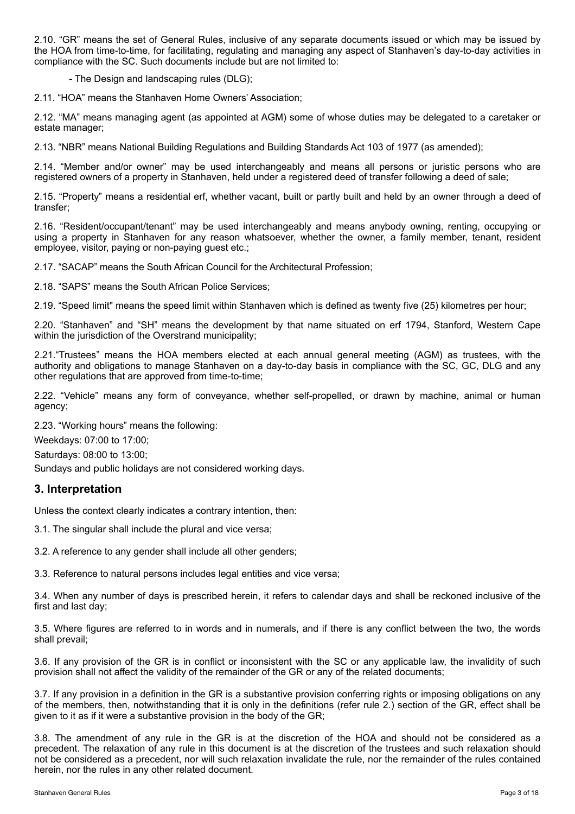2.10. "GR" means the set of General Rules, inclusive of any separate documents issued or which may be issued by the HOA from time-to-time, for facilitating, regulating and managing any aspect of Stanhaven's day-to-day activities in compliance with the SC. Such documents include but are not limited to:

- The Design and landscaping rules (DLG);

2.11. "HOA" means the Stanhaven Home Owners' Association;

2.12. "MA" means managing agent (as appointed at AGM) some of whose duties may be delegated to a caretaker or estate manager;

2.13. "NBR" means National Building Regulations and Building Standards Act 103 of 1977 (as amended);

2.14. "Member and/or owner" may be used interchangeably and means all persons or juristic persons who are registered owners of a property in Stanhaven, held under a registered deed of transfer following a deed of sale;

2.15. "Property" means a residential erf, whether vacant, built or partly built and held by an owner through a deed of transfer;

2.16. "Resident/occupant/tenant" may be used interchangeably and means anybody owning, renting, occupying or using a property in Stanhaven for any reason whatsoever, whether the owner, a family member, tenant, resident employee, visitor, paying or non-paying guest etc.;

2.17. "SACAP" means the South African Council for the Architectural Profession;

2.18. "SAPS" means the South African Police Services;

2.19. "Speed limit" means the speed limit within Stanhaven which is defined as twenty five (25) kilometres per hour;

2.20. "Stanhaven" and "SH" means the development by that name situated on erf 1794, Stanford, Western Cape within the jurisdiction of the Overstrand municipality;

2.21."Trustees" means the HOA members elected at each annual general meeting (AGM) as trustees, with the authority and obligations to manage Stanhaven on a day-to-day basis in compliance with the SC, GC, DLG and any other regulations that are approved from time-to-time;

2.22. "Vehicle" means any form of conveyance, whether self-propelled, or drawn by machine, animal or human agency;

2.23. "Working hours" means the following:

Weekdays: 07:00 to 17:00;

Saturdays: 08:00 to 13:00;

Sundays and public holidays are not considered working days.

#### **3. Interpretation**

Unless the context clearly indicates a contrary intention, then:

3.1. The singular shall include the plural and vice versa;

3.2. A reference to any gender shall include all other genders;

3.3. Reference to natural persons includes legal entities and vice versa;

3.4. When any number of days is prescribed herein, it refers to calendar days and shall be reckoned inclusive of the first and last day;

3.5. Where figures are referred to in words and in numerals, and if there is any conflict between the two, the words shall prevail;

3.6. If any provision of the GR is in conflict or inconsistent with the SC or any applicable law, the invalidity of such provision shall not affect the validity of the remainder of the GR or any of the related documents;

3.7. If any provision in a definition in the GR is a substantive provision conferring rights or imposing obligations on any of the members, then, notwithstanding that it is only in the definitions (refer rule 2.) section of the GR, effect shall be given to it as if it were a substantive provision in the body of the GR;

3.8. The amendment of any rule in the GR is at the discretion of the HOA and should not be considered as a precedent. The relaxation of any rule in this document is at the discretion of the trustees and such relaxation should not be considered as a precedent, nor will such relaxation invalidate the rule, nor the remainder of the rules contained herein, nor the rules in any other related document.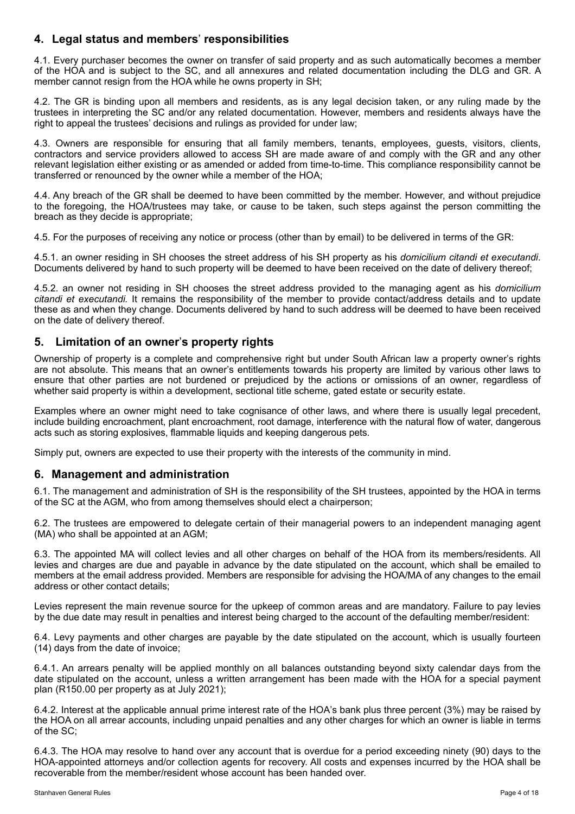# **4. Legal status and members**' **responsibilities**

4.1. Every purchaser becomes the owner on transfer of said property and as such automatically becomes a member of the HOA and is subject to the SC, and all annexures and related documentation including the DLG and GR. A member cannot resign from the HOA while he owns property in SH:

4.2. The GR is binding upon all members and residents, as is any legal decision taken, or any ruling made by the trustees in interpreting the SC and/or any related documentation. However, members and residents always have the right to appeal the trustees' decisions and rulings as provided for under law;

4.3. Owners are responsible for ensuring that all family members, tenants, employees, guests, visitors, clients, contractors and service providers allowed to access SH are made aware of and comply with the GR and any other relevant legislation either existing or as amended or added from time-to-time. This compliance responsibility cannot be transferred or renounced by the owner while a member of the HOA;

4.4. Any breach of the GR shall be deemed to have been committed by the member. However, and without prejudice to the foregoing, the HOA/trustees may take, or cause to be taken, such steps against the person committing the breach as they decide is appropriate;

4.5. For the purposes of receiving any notice or process (other than by email) to be delivered in terms of the GR:

4.5.1. an owner residing in SH chooses the street address of his SH property as his *domicilium citandi et executandi*. Documents delivered by hand to such property will be deemed to have been received on the date of delivery thereof;

4.5.2. an owner not residing in SH chooses the street address provided to the managing agent as his *domicilium citandi et executandi.* It remains the responsibility of the member to provide contact/address details and to update these as and when they change. Documents delivered by hand to such address will be deemed to have been received on the date of delivery thereof.

# **5. Limitation of an owner**'**s property rights**

Ownership of property is a complete and comprehensive right but under South African law a property owner's rights are not absolute. This means that an owner's entitlements towards his property are limited by various other laws to ensure that other parties are not burdened or prejudiced by the actions or omissions of an owner, regardless of whether said property is within a development, sectional title scheme, gated estate or security estate.

Examples where an owner might need to take cognisance of other laws, and where there is usually legal precedent, include building encroachment, plant encroachment, root damage, interference with the natural flow of water, dangerous acts such as storing explosives, flammable liquids and keeping dangerous pets.

Simply put, owners are expected to use their property with the interests of the community in mind.

# **6. Management and administration**

6.1. The management and administration of SH is the responsibility of the SH trustees, appointed by the HOA in terms of the SC at the AGM, who from among themselves should elect a chairperson;

6.2. The trustees are empowered to delegate certain of their managerial powers to an independent managing agent (MA) who shall be appointed at an AGM;

6.3. The appointed MA will collect levies and all other charges on behalf of the HOA from its members/residents. All levies and charges are due and payable in advance by the date stipulated on the account, which shall be emailed to members at the email address provided. Members are responsible for advising the HOA/MA of any changes to the email address or other contact details;

Levies represent the main revenue source for the upkeep of common areas and are mandatory. Failure to pay levies by the due date may result in penalties and interest being charged to the account of the defaulting member/resident:

6.4. Levy payments and other charges are payable by the date stipulated on the account, which is usually fourteen (14) days from the date of invoice;

6.4.1. An arrears penalty will be applied monthly on all balances outstanding beyond sixty calendar days from the date stipulated on the account, unless a written arrangement has been made with the HOA for a special payment plan (R150.00 per property as at July 2021);

6.4.2. Interest at the applicable annual prime interest rate of the HOA's bank plus three percent (3%) may be raised by the HOA on all arrear accounts, including unpaid penalties and any other charges for which an owner is liable in terms of the SC;

6.4.3. The HOA may resolve to hand over any account that is overdue for a period exceeding ninety (90) days to the HOA-appointed attorneys and/or collection agents for recovery. All costs and expenses incurred by the HOA shall be recoverable from the member/resident whose account has been handed over.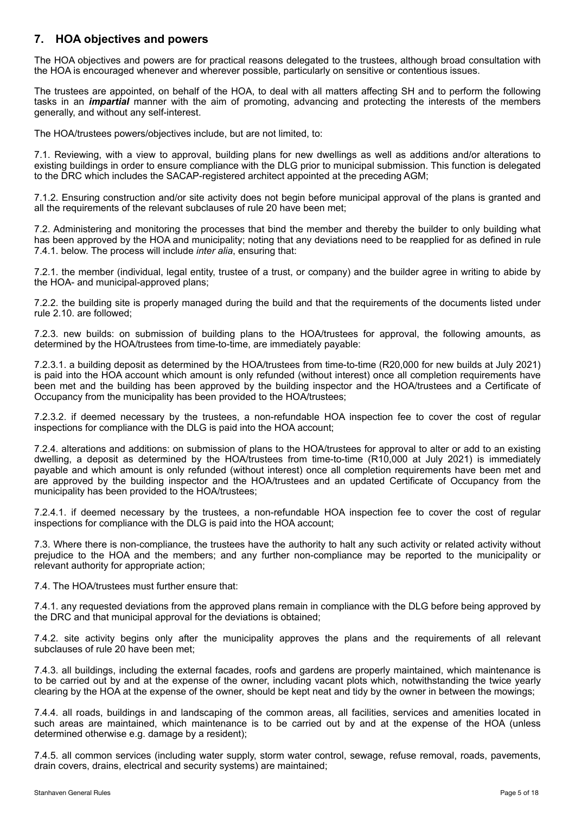# **7. HOA objectives and powers**

The HOA objectives and powers are for practical reasons delegated to the trustees, although broad consultation with the HOA is encouraged whenever and wherever possible, particularly on sensitive or contentious issues.

The trustees are appointed, on behalf of the HOA, to deal with all matters affecting SH and to perform the following tasks in an *impartial* manner with the aim of promoting, advancing and protecting the interests of the members generally, and without any self-interest.

The HOA/trustees powers/objectives include, but are not limited, to:

7.1. Reviewing, with a view to approval, building plans for new dwellings as well as additions and/or alterations to existing buildings in order to ensure compliance with the DLG prior to municipal submission. This function is delegated to the DRC which includes the SACAP-registered architect appointed at the preceding AGM;

7.1.2. Ensuring construction and/or site activity does not begin before municipal approval of the plans is granted and all the requirements of the relevant subclauses of rule 20 have been met;

7.2. Administering and monitoring the processes that bind the member and thereby the builder to only building what has been approved by the HOA and municipality; noting that any deviations need to be reapplied for as defined in rule 7.4.1. below. The process will include *inter alia*, ensuring that:

7.2.1. the member (individual, legal entity, trustee of a trust, or company) and the builder agree in writing to abide by the HOA- and municipal-approved plans;

7.2.2. the building site is properly managed during the build and that the requirements of the documents listed under rule 2.10. are followed;

7.2.3. new builds: on submission of building plans to the HOA/trustees for approval, the following amounts, as determined by the HOA/trustees from time-to-time, are immediately payable:

7.2.3.1. a building deposit as determined by the HOA/trustees from time-to-time (R20,000 for new builds at July 2021) is paid into the HOA account which amount is only refunded (without interest) once all completion requirements have been met and the building has been approved by the building inspector and the HOA/trustees and a Certificate of Occupancy from the municipality has been provided to the HOA/trustees;

7.2.3.2. if deemed necessary by the trustees, a non-refundable HOA inspection fee to cover the cost of regular inspections for compliance with the DLG is paid into the HOA account;

7.2.4. alterations and additions: on submission of plans to the HOA/trustees for approval to alter or add to an existing dwelling, a deposit as determined by the HOA/trustees from time-to-time (R10,000 at July 2021) is immediately payable and which amount is only refunded (without interest) once all completion requirements have been met and are approved by the building inspector and the HOA/trustees and an updated Certificate of Occupancy from the municipality has been provided to the HOA/trustees;

7.2.4.1. if deemed necessary by the trustees, a non-refundable HOA inspection fee to cover the cost of regular inspections for compliance with the DLG is paid into the HOA account;

7.3. Where there is non-compliance, the trustees have the authority to halt any such activity or related activity without prejudice to the HOA and the members; and any further non-compliance may be reported to the municipality or relevant authority for appropriate action;

7.4. The HOA/trustees must further ensure that:

7.4.1. any requested deviations from the approved plans remain in compliance with the DLG before being approved by the DRC and that municipal approval for the deviations is obtained;

7.4.2. site activity begins only after the municipality approves the plans and the requirements of all relevant subclauses of rule 20 have been met;

7.4.3. all buildings, including the external facades, roofs and gardens are properly maintained, which maintenance is to be carried out by and at the expense of the owner, including vacant plots which, notwithstanding the twice yearly clearing by the HOA at the expense of the owner, should be kept neat and tidy by the owner in between the mowings;

7.4.4. all roads, buildings in and landscaping of the common areas, all facilities, services and amenities located in such areas are maintained, which maintenance is to be carried out by and at the expense of the HOA (unless determined otherwise e.g. damage by a resident);

7.4.5. all common services (including water supply, storm water control, sewage, refuse removal, roads, pavements, drain covers, drains, electrical and security systems) are maintained;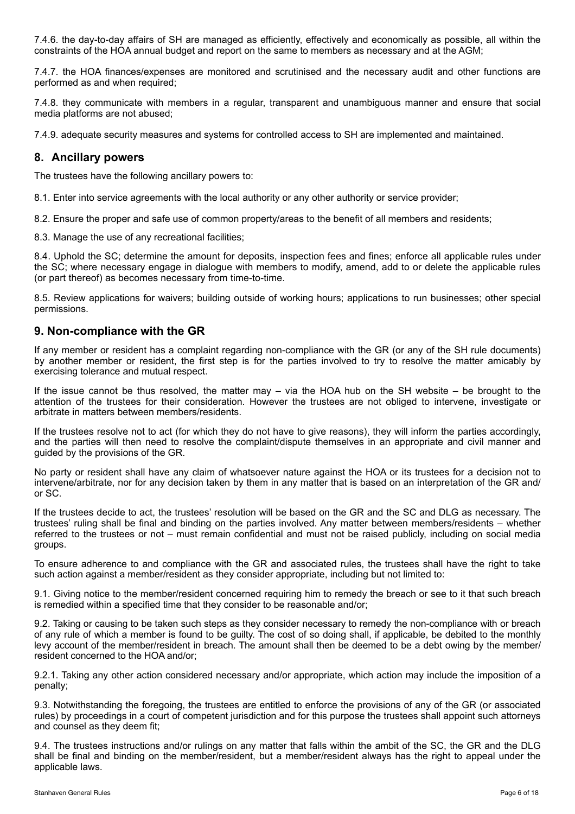7.4.6. the day-to-day affairs of SH are managed as efficiently, effectively and economically as possible, all within the constraints of the HOA annual budget and report on the same to members as necessary and at the AGM;

7.4.7. the HOA finances/expenses are monitored and scrutinised and the necessary audit and other functions are performed as and when required:

7.4.8. they communicate with members in a regular, transparent and unambiguous manner and ensure that social media platforms are not abused;

7.4.9. adequate security measures and systems for controlled access to SH are implemented and maintained.

#### **8. Ancillary powers**

The trustees have the following ancillary powers to:

8.1. Enter into service agreements with the local authority or any other authority or service provider;

8.2. Ensure the proper and safe use of common property/areas to the benefit of all members and residents;

8.3. Manage the use of any recreational facilities;

8.4. Uphold the SC; determine the amount for deposits, inspection fees and fines; enforce all applicable rules under the SC; where necessary engage in dialogue with members to modify, amend, add to or delete the applicable rules (or part thereof) as becomes necessary from time-to-time.

8.5. Review applications for waivers; building outside of working hours; applications to run businesses; other special permissions.

#### **9. Non-compliance with the GR**

If any member or resident has a complaint regarding non-compliance with the GR (or any of the SH rule documents) by another member or resident, the first step is for the parties involved to try to resolve the matter amicably by exercising tolerance and mutual respect.

If the issue cannot be thus resolved, the matter may – via the HOA hub on the SH website – be brought to the attention of the trustees for their consideration. However the trustees are not obliged to intervene, investigate or arbitrate in matters between members/residents.

If the trustees resolve not to act (for which they do not have to give reasons), they will inform the parties accordingly, and the parties will then need to resolve the complaint/dispute themselves in an appropriate and civil manner and guided by the provisions of the GR.

No party or resident shall have any claim of whatsoever nature against the HOA or its trustees for a decision not to intervene/arbitrate, nor for any decision taken by them in any matter that is based on an interpretation of the GR and/ or SC.

If the trustees decide to act, the trustees' resolution will be based on the GR and the SC and DLG as necessary. The trustees' ruling shall be final and binding on the parties involved. Any matter between members/residents – whether referred to the trustees or not – must remain confidential and must not be raised publicly, including on social media groups.

To ensure adherence to and compliance with the GR and associated rules, the trustees shall have the right to take such action against a member/resident as they consider appropriate, including but not limited to:

9.1. Giving notice to the member/resident concerned requiring him to remedy the breach or see to it that such breach is remedied within a specified time that they consider to be reasonable and/or;

9.2. Taking or causing to be taken such steps as they consider necessary to remedy the non-compliance with or breach of any rule of which a member is found to be guilty. The cost of so doing shall, if applicable, be debited to the monthly levy account of the member/resident in breach. The amount shall then be deemed to be a debt owing by the member/ resident concerned to the HOA and/or;

9.2.1. Taking any other action considered necessary and/or appropriate, which action may include the imposition of a penalty;

9.3. Notwithstanding the foregoing, the trustees are entitled to enforce the provisions of any of the GR (or associated rules) by proceedings in a court of competent jurisdiction and for this purpose the trustees shall appoint such attorneys and counsel as they deem fit;

9.4. The trustees instructions and/or rulings on any matter that falls within the ambit of the SC, the GR and the DLG shall be final and binding on the member/resident, but a member/resident always has the right to appeal under the applicable laws.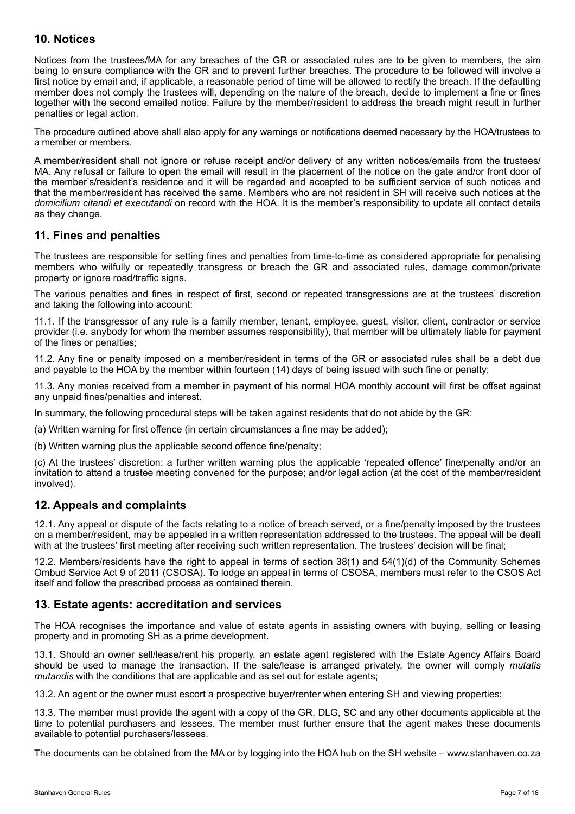# **10. Notices**

Notices from the trustees/MA for any breaches of the GR or associated rules are to be given to members, the aim being to ensure compliance with the GR and to prevent further breaches. The procedure to be followed will involve a first notice by email and, if applicable, a reasonable period of time will be allowed to rectify the breach. If the defaulting member does not comply the trustees will, depending on the nature of the breach, decide to implement a fine or fines together with the second emailed notice. Failure by the member/resident to address the breach might result in further penalties or legal action.

The procedure outlined above shall also apply for any warnings or notifications deemed necessary by the HOA/trustees to a member or members.

A member/resident shall not ignore or refuse receipt and/or delivery of any written notices/emails from the trustees/ MA. Any refusal or failure to open the email will result in the placement of the notice on the gate and/or front door of the member's/resident's residence and it will be regarded and accepted to be sufficient service of such notices and that the member/resident has received the same. Members who are not resident in SH will receive such notices at the *domicilium citandi et executandi* on record with the HOA. It is the member's responsibility to update all contact details as they change.

# **11. Fines and penalties**

The trustees are responsible for setting fines and penalties from time-to-time as considered appropriate for penalising members who wilfully or repeatedly transgress or breach the GR and associated rules, damage common/private property or ignore road/traffic signs.

The various penalties and fines in respect of first, second or repeated transgressions are at the trustees' discretion and taking the following into account:

11.1. If the transgressor of any rule is a family member, tenant, employee, guest, visitor, client, contractor or service provider (i.e. anybody for whom the member assumes responsibility), that member will be ultimately liable for payment of the fines or penalties;

11.2. Any fine or penalty imposed on a member/resident in terms of the GR or associated rules shall be a debt due and payable to the HOA by the member within fourteen (14) days of being issued with such fine or penalty;

11.3. Any monies received from a member in payment of his normal HOA monthly account will first be offset against any unpaid fines/penalties and interest.

In summary, the following procedural steps will be taken against residents that do not abide by the GR:

(a) Written warning for first offence (in certain circumstances a fine may be added);

(b) Written warning plus the applicable second offence fine/penalty;

(c) At the trustees' discretion: a further written warning plus the applicable 'repeated offence' fine/penalty and/or an invitation to attend a trustee meeting convened for the purpose; and/or legal action (at the cost of the member/resident involved).

# **12. Appeals and complaints**

12.1. Any appeal or dispute of the facts relating to a notice of breach served, or a fine/penalty imposed by the trustees on a member/resident, may be appealed in a written representation addressed to the trustees. The appeal will be dealt with at the trustees' first meeting after receiving such written representation. The trustees' decision will be final;

12.2. Members/residents have the right to appeal in terms of section 38(1) and 54(1)(d) of the Community Schemes Ombud Service Act 9 of 2011 (CSOSA). To lodge an appeal in terms of CSOSA, members must refer to the CSOS Act itself and follow the prescribed process as contained therein.

# **13. Estate agents: accreditation and services**

The HOA recognises the importance and value of estate agents in assisting owners with buying, selling or leasing property and in promoting SH as a prime development.

13.1. Should an owner sell/lease/rent his property, an estate agent registered with the Estate Agency Affairs Board should be used to manage the transaction. If the sale/lease is arranged privately, the owner will comply *mutatis mutandis* with the conditions that are applicable and as set out for estate agents;

13.2. An agent or the owner must escort a prospective buyer/renter when entering SH and viewing properties;

13.3. The member must provide the agent with a copy of the GR, DLG, SC and any other documents applicable at the time to potential purchasers and lessees. The member must further ensure that the agent makes these documents available to potential purchasers/lessees.

The documents can be obtained from the MA or by logging into the HOA hub on the SH website – [www.stanhaven.co.za](http://www.stanhaven.co.za)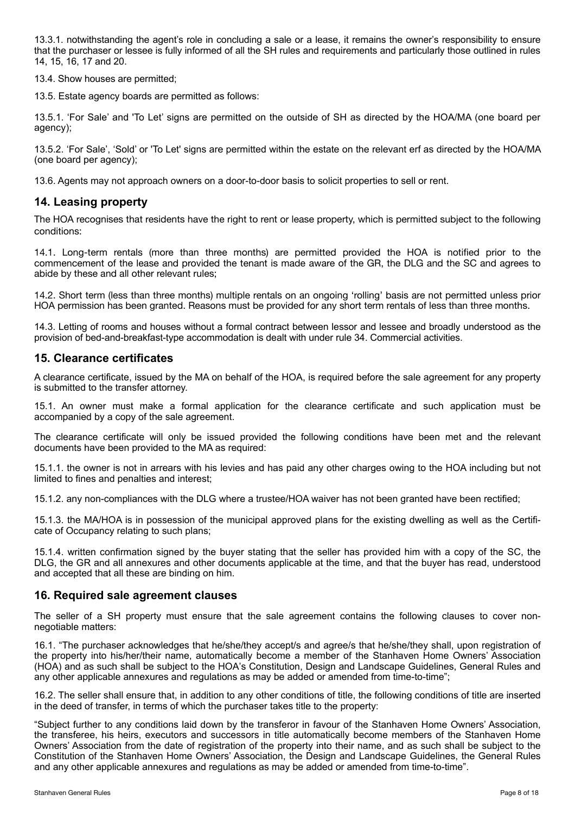13.3.1. notwithstanding the agent's role in concluding a sale or a lease, it remains the owner's responsibility to ensure that the purchaser or lessee is fully informed of all the SH rules and requirements and particularly those outlined in rules 14, 15, 16, 17 and 20.

13.4. Show houses are permitted;

13.5. Estate agency boards are permitted as follows:

13.5.1. 'For Sale' and 'To Let' signs are permitted on the outside of SH as directed by the HOA/MA (one board per agency);

13.5.2. 'For Sale', 'Sold' or 'To Let' signs are permitted within the estate on the relevant erf as directed by the HOA/MA (one board per agency);

13.6. Agents may not approach owners on a door-to-door basis to solicit properties to sell or rent.

#### **14. Leasing property**

The HOA recognises that residents have the right to rent or lease property, which is permitted subject to the following conditions:

14.1. Long-term rentals (more than three months) are permitted provided the HOA is notified prior to the commencement of the lease and provided the tenant is made aware of the GR, the DLG and the SC and agrees to abide by these and all other relevant rules;

14.2. Short term (less than three months) multiple rentals on an ongoing 'rolling' basis are not permitted unless prior HOA permission has been granted. Reasons must be provided for any short term rentals of less than three months.

14.3. Letting of rooms and houses without a formal contract between lessor and lessee and broadly understood as the provision of bed-and-breakfast-type accommodation is dealt with under rule 34. Commercial activities.

#### **15. Clearance certificates**

A clearance certificate, issued by the MA on behalf of the HOA, is required before the sale agreement for any property is submitted to the transfer attorney.

15.1. An owner must make a formal application for the clearance certificate and such application must be accompanied by a copy of the sale agreement.

The clearance certificate will only be issued provided the following conditions have been met and the relevant documents have been provided to the MA as required:

15.1.1. the owner is not in arrears with his levies and has paid any other charges owing to the HOA including but not limited to fines and penalties and interest;

15.1.2. any non-compliances with the DLG where a trustee/HOA waiver has not been granted have been rectified;

15.1.3. the MA/HOA is in possession of the municipal approved plans for the existing dwelling as well as the Certificate of Occupancy relating to such plans;

15.1.4. written confirmation signed by the buyer stating that the seller has provided him with a copy of the SC, the DLG, the GR and all annexures and other documents applicable at the time, and that the buyer has read, understood and accepted that all these are binding on him.

#### **16. Required sale agreement clauses**

The seller of a SH property must ensure that the sale agreement contains the following clauses to cover nonnegotiable matters:

16.1. "The purchaser acknowledges that he/she/they accept/s and agree/s that he/she/they shall, upon registration of the property into his/her/their name, automatically become a member of the Stanhaven Home Owners' Association (HOA) and as such shall be subject to the HOA's Constitution, Design and Landscape Guidelines, General Rules and any other applicable annexures and regulations as may be added or amended from time-to-time";

16.2. The seller shall ensure that, in addition to any other conditions of title, the following conditions of title are inserted in the deed of transfer, in terms of which the purchaser takes title to the property:

"Subject further to any conditions laid down by the transferor in favour of the Stanhaven Home Owners' Association, the transferee, his heirs, executors and successors in title automatically become members of the Stanhaven Home Owners' Association from the date of registration of the property into their name, and as such shall be subject to the Constitution of the Stanhaven Home Owners' Association, the Design and Landscape Guidelines, the General Rules and any other applicable annexures and regulations as may be added or amended from time-to-time".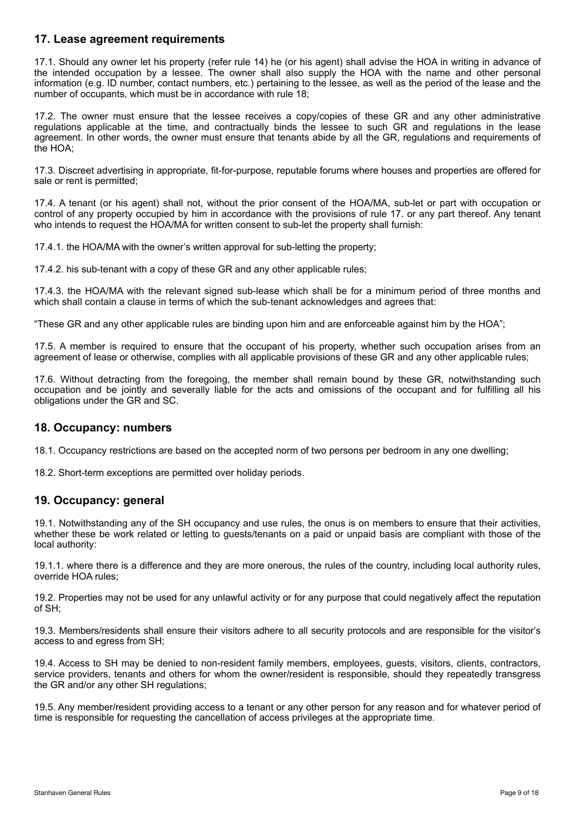#### **17. Lease agreement requirements**

17.1. Should any owner let his property (refer rule 14) he (or his agent) shall advise the HOA in writing in advance of the intended occupation by a lessee. The owner shall also supply the HOA with the name and other personal information (e.g. ID number, contact numbers, etc.) pertaining to the lessee, as well as the period of the lease and the number of occupants, which must be in accordance with rule 18;

17.2. The owner must ensure that the lessee receives a copy/copies of these GR and any other administrative regulations applicable at the time, and contractually binds the lessee to such GR and regulations in the lease agreement. In other words, the owner must ensure that tenants abide by all the GR, regulations and requirements of the HOA;

17.3. Discreet advertising in appropriate, fit-for-purpose, reputable forums where houses and properties are offered for sale or rent is permitted;

17.4. A tenant (or his agent) shall not, without the prior consent of the HOA/MA, sub-let or part with occupation or control of any property occupied by him in accordance with the provisions of rule 17. or any part thereof. Any tenant who intends to request the HOA/MA for written consent to sub-let the property shall furnish:

17.4.1. the HOA/MA with the owner's written approval for sub-letting the property;

17.4.2. his sub-tenant with a copy of these GR and any other applicable rules;

17.4.3. the HOA/MA with the relevant signed sub-lease which shall be for a minimum period of three months and which shall contain a clause in terms of which the sub-tenant acknowledges and agrees that:

"These GR and any other applicable rules are binding upon him and are enforceable against him by the HOA";

17.5. A member is required to ensure that the occupant of his property, whether such occupation arises from an agreement of lease or otherwise, complies with all applicable provisions of these GR and any other applicable rules;

17.6. Without detracting from the foregoing, the member shall remain bound by these GR, notwithstanding such occupation and be jointly and severally liable for the acts and omissions of the occupant and for fulfilling all his obligations under the GR and SC.

# **18. Occupancy: numbers**

18.1. Occupancy restrictions are based on the accepted norm of two persons per bedroom in any one dwelling;

18.2. Short-term exceptions are permitted over holiday periods.

#### **19. Occupancy: general**

19.1. Notwithstanding any of the SH occupancy and use rules, the onus is on members to ensure that their activities, whether these be work related or letting to guests/tenants on a paid or unpaid basis are compliant with those of the local authority:

19.1.1. where there is a difference and they are more onerous, the rules of the country, including local authority rules, override HOA rules;

19.2. Properties may not be used for any unlawful activity or for any purpose that could negatively affect the reputation of SH;

19.3. Members/residents shall ensure their visitors adhere to all security protocols and are responsible for the visitor's access to and egress from SH;

19.4. Access to SH may be denied to non-resident family members, employees, guests, visitors, clients, contractors, service providers, tenants and others for whom the owner/resident is responsible, should they repeatedly transgress the GR and/or any other SH regulations;

19.5. Any member/resident providing access to a tenant or any other person for any reason and for whatever period of time is responsible for requesting the cancellation of access privileges at the appropriate time.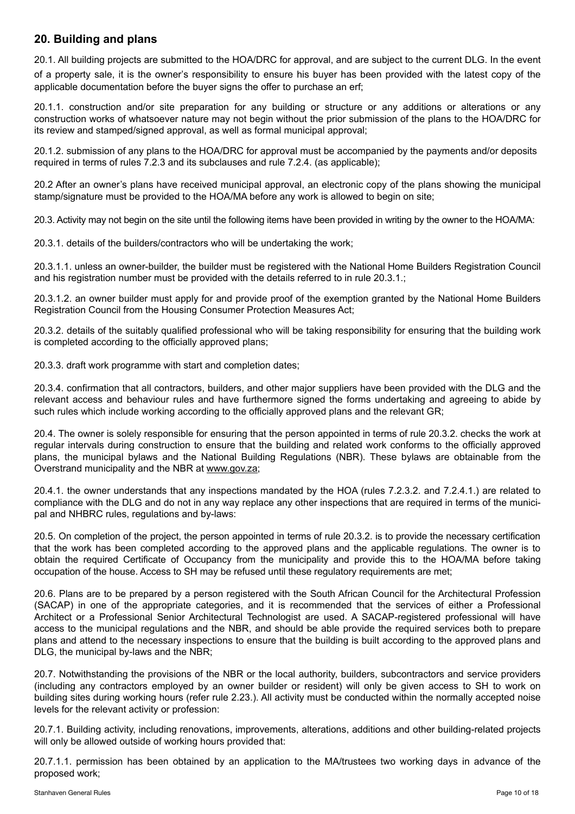# **20. Building and plans**

20.1. All building projects are submitted to the HOA/DRC for approval, and are subject to the current DLG. In the event of a property sale, it is the owner's responsibility to ensure his buyer has been provided with the latest copy of the applicable documentation before the buyer signs the offer to purchase an erf;

20.1.1. construction and/or site preparation for any building or structure or any additions or alterations or any construction works of whatsoever nature may not begin without the prior submission of the plans to the HOA/DRC for its review and stamped/signed approval, as well as formal municipal approval;

20.1.2. submission of any plans to the HOA/DRC for approval must be accompanied by the payments and/or deposits required in terms of rules 7.2.3 and its subclauses and rule 7.2.4. (as applicable);

20.2 After an owner's plans have received municipal approval, an electronic copy of the plans showing the municipal stamp/signature must be provided to the HOA/MA before any work is allowed to begin on site;

20.3. Activity may not begin on the site until the following items have been provided in writing by the owner to the HOA/MA:

20.3.1. details of the builders/contractors who will be undertaking the work;

20.3.1.1. unless an owner-builder, the builder must be registered with the National Home Builders Registration Council and his registration number must be provided with the details referred to in rule 20.3.1.;

20.3.1.2. an owner builder must apply for and provide proof of the exemption granted by the National Home Builders Registration Council from the Housing Consumer Protection Measures Act;

20.3.2. details of the suitably qualified professional who will be taking responsibility for ensuring that the building work is completed according to the officially approved plans;

20.3.3. draft work programme with start and completion dates;

20.3.4. confirmation that all contractors, builders, and other major suppliers have been provided with the DLG and the relevant access and behaviour rules and have furthermore signed the forms undertaking and agreeing to abide by such rules which include working according to the officially approved plans and the relevant GR;

20.4. The owner is solely responsible for ensuring that the person appointed in terms of rule 20.3.2. checks the work at regular intervals during construction to ensure that the building and related work conforms to the officially approved plans, the municipal bylaws and the National Building Regulations (NBR). These bylaws are obtainable from the Overstrand municipality and the NBR at [www.gov.za](http://www.gov.za);

20.4.1. the owner understands that any inspections mandated by the HOA (rules 7.2.3.2. and 7.2.4.1.) are related to compliance with the DLG and do not in any way replace any other inspections that are required in terms of the municipal and NHBRC rules, regulations and by-laws:

20.5. On completion of the project, the person appointed in terms of rule 20.3.2. is to provide the necessary certification that the work has been completed according to the approved plans and the applicable regulations. The owner is to obtain the required Certificate of Occupancy from the municipality and provide this to the HOA/MA before taking occupation of the house. Access to SH may be refused until these regulatory requirements are met;

20.6. Plans are to be prepared by a person registered with the South African Council for the Architectural Profession (SACAP) in one of the appropriate categories, and it is recommended that the services of either a Professional Architect or a Professional Senior Architectural Technologist are used. A SACAP-registered professional will have access to the municipal regulations and the NBR, and should be able provide the required services both to prepare plans and attend to the necessary inspections to ensure that the building is built according to the approved plans and DLG, the municipal by-laws and the NBR;

20.7. Notwithstanding the provisions of the NBR or the local authority, builders, subcontractors and service providers (including any contractors employed by an owner builder or resident) will only be given access to SH to work on building sites during working hours (refer rule 2.23.). All activity must be conducted within the normally accepted noise levels for the relevant activity or profession:

20.7.1. Building activity, including renovations, improvements, alterations, additions and other building-related projects will only be allowed outside of working hours provided that:

20.7.1.1. permission has been obtained by an application to the MA/trustees two working days in advance of the proposed work;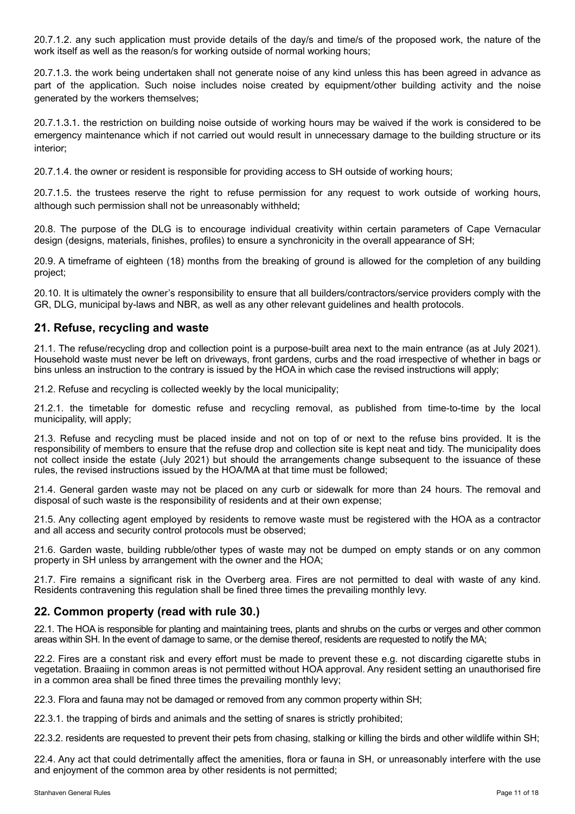20.7.1.2. any such application must provide details of the day/s and time/s of the proposed work, the nature of the work itself as well as the reason/s for working outside of normal working hours;

20.7.1.3. the work being undertaken shall not generate noise of any kind unless this has been agreed in advance as part of the application. Such noise includes noise created by equipment/other building activity and the noise generated by the workers themselves;

20.7.1.3.1. the restriction on building noise outside of working hours may be waived if the work is considered to be emergency maintenance which if not carried out would result in unnecessary damage to the building structure or its interior;

20.7.1.4. the owner or resident is responsible for providing access to SH outside of working hours;

20.7.1.5. the trustees reserve the right to refuse permission for any request to work outside of working hours, although such permission shall not be unreasonably withheld;

20.8. The purpose of the DLG is to encourage individual creativity within certain parameters of Cape Vernacular design (designs, materials, finishes, profiles) to ensure a synchronicity in the overall appearance of SH;

20.9. A timeframe of eighteen (18) months from the breaking of ground is allowed for the completion of any building project;

20.10. It is ultimately the owner's responsibility to ensure that all builders/contractors/service providers comply with the GR, DLG, municipal by-laws and NBR, as well as any other relevant guidelines and health protocols.

# **21. Refuse, recycling and waste**

21.1. The refuse/recycling drop and collection point is a purpose-built area next to the main entrance (as at July 2021). Household waste must never be left on driveways, front gardens, curbs and the road irrespective of whether in bags or bins unless an instruction to the contrary is issued by the HOA in which case the revised instructions will apply;

21.2. Refuse and recycling is collected weekly by the local municipality;

21.2.1. the timetable for domestic refuse and recycling removal, as published from time-to-time by the local municipality, will apply;

21.3. Refuse and recycling must be placed inside and not on top of or next to the refuse bins provided. It is the responsibility of members to ensure that the refuse drop and collection site is kept neat and tidy. The municipality does not collect inside the estate (July 2021) but should the arrangements change subsequent to the issuance of these rules, the revised instructions issued by the HOA/MA at that time must be followed;

21.4. General garden waste may not be placed on any curb or sidewalk for more than 24 hours. The removal and disposal of such waste is the responsibility of residents and at their own expense;

21.5. Any collecting agent employed by residents to remove waste must be registered with the HOA as a contractor and all access and security control protocols must be observed;

21.6. Garden waste, building rubble/other types of waste may not be dumped on empty stands or on any common property in SH unless by arrangement with the owner and the HOA;

21.7. Fire remains a significant risk in the Overberg area. Fires are not permitted to deal with waste of any kind. Residents contravening this regulation shall be fined three times the prevailing monthly levy.

# **22. Common property (read with rule 30.)**

22.1. The HOA is responsible for planting and maintaining trees, plants and shrubs on the curbs or verges and other common areas within SH. In the event of damage to same, or the demise thereof, residents are requested to notify the MA;

22.2. Fires are a constant risk and every effort must be made to prevent these e.g. not discarding cigarette stubs in vegetation. Braaiing in common areas is not permitted without HOA approval. Any resident setting an unauthorised fire in a common area shall be fined three times the prevailing monthly levy;

22.3. Flora and fauna may not be damaged or removed from any common property within SH;

22.3.1. the trapping of birds and animals and the setting of snares is strictly prohibited;

22.3.2. residents are requested to prevent their pets from chasing, stalking or killing the birds and other wildlife within SH;

22.4. Any act that could detrimentally affect the amenities, flora or fauna in SH, or unreasonably interfere with the use and enjoyment of the common area by other residents is not permitted;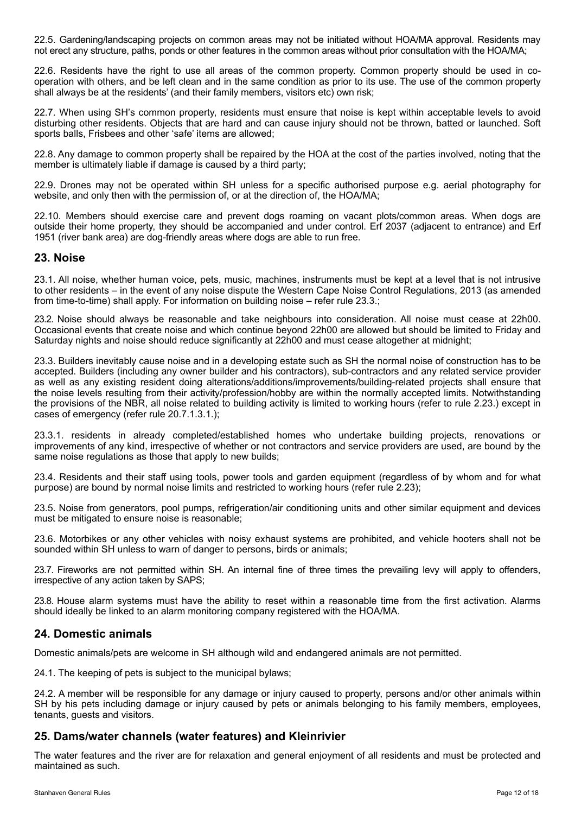22.5. Gardening/landscaping projects on common areas may not be initiated without HOA/MA approval. Residents may not erect any structure, paths, ponds or other features in the common areas without prior consultation with the HOA/MA;

22.6. Residents have the right to use all areas of the common property. Common property should be used in cooperation with others, and be left clean and in the same condition as prior to its use. The use of the common property shall always be at the residents' (and their family members, visitors etc) own risk;

22.7. When using SH's common property, residents must ensure that noise is kept within acceptable levels to avoid disturbing other residents. Objects that are hard and can cause injury should not be thrown, batted or launched. Soft sports balls, Frisbees and other 'safe' items are allowed;

22.8. Any damage to common property shall be repaired by the HOA at the cost of the parties involved, noting that the member is ultimately liable if damage is caused by a third party;

22.9. Drones may not be operated within SH unless for a specific authorised purpose e.g. aerial photography for website, and only then with the permission of, or at the direction of, the HOA/MA;

22.10. Members should exercise care and prevent dogs roaming on vacant plots/common areas. When dogs are outside their home property, they should be accompanied and under control. Erf 2037 (adjacent to entrance) and Erf 1951 (river bank area) are dog-friendly areas where dogs are able to run free.

#### **23. Noise**

23.1. All noise, whether human voice, pets, music, machines, instruments must be kept at a level that is not intrusive to other residents – in the event of any noise dispute the Western Cape Noise Control Regulations, 2013 (as amended from time-to-time) shall apply. For information on building noise – refer rule 23.3.;

23.2. Noise should always be reasonable and take neighbours into consideration. All noise must cease at 22h00. Occasional events that create noise and which continue beyond 22h00 are allowed but should be limited to Friday and Saturday nights and noise should reduce significantly at 22h00 and must cease altogether at midnight;

23.3. Builders inevitably cause noise and in a developing estate such as SH the normal noise of construction has to be accepted. Builders (including any owner builder and his contractors), sub-contractors and any related service provider as well as any existing resident doing alterations/additions/improvements/building-related projects shall ensure that the noise levels resulting from their activity/profession/hobby are within the normally accepted limits. Notwithstanding the provisions of the NBR, all noise related to building activity is limited to working hours (refer to rule 2.23.) except in cases of emergency (refer rule 20.7.1.3.1.);

23.3.1. residents in already completed/established homes who undertake building projects, renovations or improvements of any kind, irrespective of whether or not contractors and service providers are used, are bound by the same noise regulations as those that apply to new builds;

23.4. Residents and their staff using tools, power tools and garden equipment (regardless of by whom and for what purpose) are bound by normal noise limits and restricted to working hours (refer rule 2.23);

23.5. Noise from generators, pool pumps, refrigeration/air conditioning units and other similar equipment and devices must be mitigated to ensure noise is reasonable;

23.6. Motorbikes or any other vehicles with noisy exhaust systems are prohibited, and vehicle hooters shall not be sounded within SH unless to warn of danger to persons, birds or animals;

23.7. Fireworks are not permitted within SH. An internal fine of three times the prevailing levy will apply to offenders, irrespective of any action taken by SAPS;

23.8. House alarm systems must have the ability to reset within a reasonable time from the first activation. Alarms should ideally be linked to an alarm monitoring company registered with the HOA/MA.

# **24. Domestic animals**

Domestic animals/pets are welcome in SH although wild and endangered animals are not permitted.

24.1. The keeping of pets is subject to the municipal bylaws;

24.2. A member will be responsible for any damage or injury caused to property, persons and/or other animals within SH by his pets including damage or injury caused by pets or animals belonging to his family members, employees, tenants, guests and visitors.

# **25. Dams/water channels (water features) and Kleinrivier**

The water features and the river are for relaxation and general enjoyment of all residents and must be protected and maintained as such.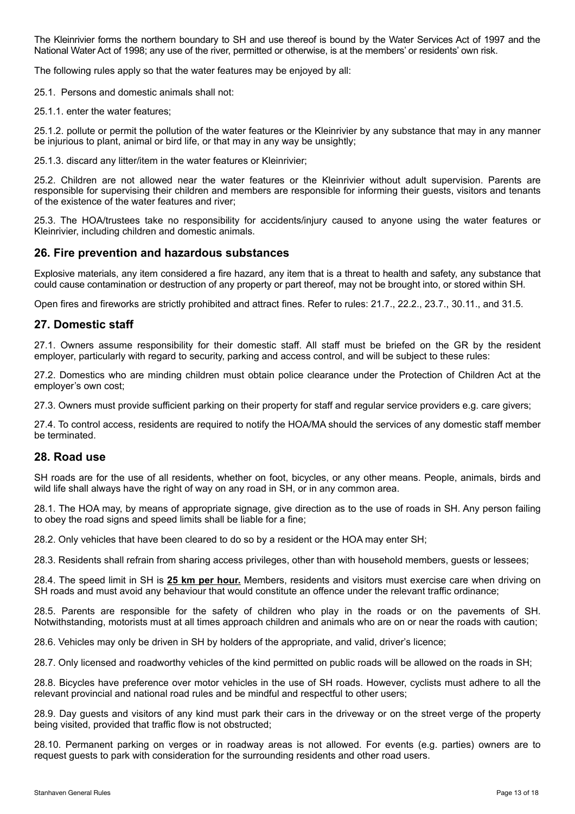The Kleinrivier forms the northern boundary to SH and use thereof is bound by the Water Services Act of 1997 and the National Water Act of 1998; any use of the river, permitted or otherwise, is at the members' or residents' own risk.

The following rules apply so that the water features may be enjoyed by all:

25.1. Persons and domestic animals shall not:

25.1.1. enter the water features;

25.1.2. pollute or permit the pollution of the water features or the Kleinrivier by any substance that may in any manner be injurious to plant, animal or bird life, or that may in any way be unsightly;

25.1.3. discard any litter/item in the water features or Kleinrivier;

25.2. Children are not allowed near the water features or the Kleinrivier without adult supervision. Parents are responsible for supervising their children and members are responsible for informing their guests, visitors and tenants of the existence of the water features and river;

25.3. The HOA/trustees take no responsibility for accidents/injury caused to anyone using the water features or Kleinrivier, including children and domestic animals.

#### **26. Fire prevention and hazardous substances**

Explosive materials, any item considered a fire hazard, any item that is a threat to health and safety, any substance that could cause contamination or destruction of any property or part thereof, may not be brought into, or stored within SH.

Open fires and fireworks are strictly prohibited and attract fines. Refer to rules: 21.7., 22.2., 23.7., 30.11., and 31.5.

#### **27. Domestic staff**

27.1. Owners assume responsibility for their domestic staff. All staff must be briefed on the GR by the resident employer, particularly with regard to security, parking and access control, and will be subject to these rules:

27.2. Domestics who are minding children must obtain police clearance under the Protection of Children Act at the employer's own cost;

27.3. Owners must provide sufficient parking on their property for staff and regular service providers e.g. care givers;

27.4. To control access, residents are required to notify the HOA/MA should the services of any domestic staff member be terminated.

#### **28. Road use**

SH roads are for the use of all residents, whether on foot, bicycles, or any other means. People, animals, birds and wild life shall always have the right of way on any road in SH, or in any common area.

28.1. The HOA may, by means of appropriate signage, give direction as to the use of roads in SH. Any person failing to obey the road signs and speed limits shall be liable for a fine;

28.2. Only vehicles that have been cleared to do so by a resident or the HOA may enter SH;

28.3. Residents shall refrain from sharing access privileges, other than with household members, guests or lessees;

28.4. The speed limit in SH is **25 km per hour.** Members, residents and visitors must exercise care when driving on SH roads and must avoid any behaviour that would constitute an offence under the relevant traffic ordinance;

28.5. Parents are responsible for the safety of children who play in the roads or on the pavements of SH. Notwithstanding, motorists must at all times approach children and animals who are on or near the roads with caution;

28.6. Vehicles may only be driven in SH by holders of the appropriate, and valid, driver's licence;

28.7. Only licensed and roadworthy vehicles of the kind permitted on public roads will be allowed on the roads in SH;

28.8. Bicycles have preference over motor vehicles in the use of SH roads. However, cyclists must adhere to all the relevant provincial and national road rules and be mindful and respectful to other users;

28.9. Day guests and visitors of any kind must park their cars in the driveway or on the street verge of the property being visited, provided that traffic flow is not obstructed;

28.10. Permanent parking on verges or in roadway areas is not allowed. For events (e.g. parties) owners are to request guests to park with consideration for the surrounding residents and other road users.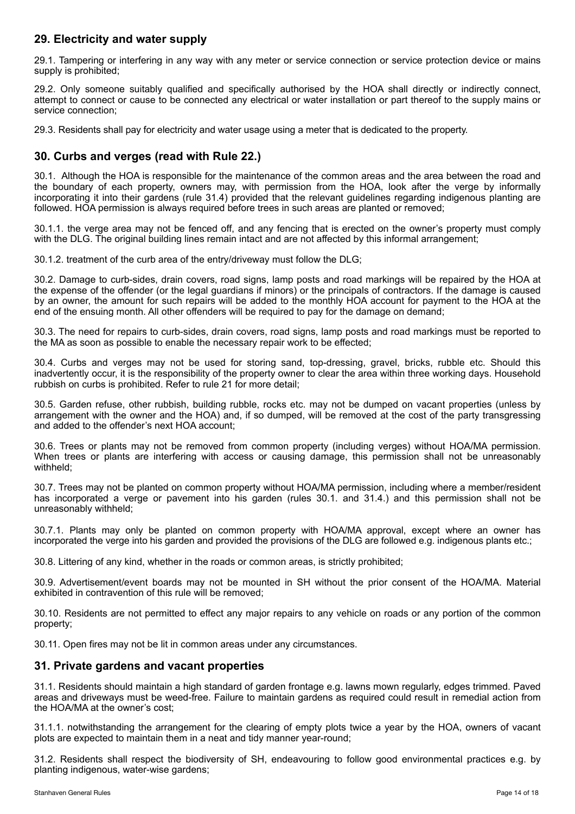# **29. Electricity and water supply**

29.1. Tampering or interfering in any way with any meter or service connection or service protection device or mains supply is prohibited:

29.2. Only someone suitably qualified and specifically authorised by the HOA shall directly or indirectly connect, attempt to connect or cause to be connected any electrical or water installation or part thereof to the supply mains or service connection;

29.3. Residents shall pay for electricity and water usage using a meter that is dedicated to the property.

# **30. Curbs and verges (read with Rule 22.)**

30.1. Although the HOA is responsible for the maintenance of the common areas and the area between the road and the boundary of each property, owners may, with permission from the HOA, look after the verge by informally incorporating it into their gardens (rule 31.4) provided that the relevant guidelines regarding indigenous planting are followed. HOA permission is always required before trees in such areas are planted or removed;

30.1.1. the verge area may not be fenced off, and any fencing that is erected on the owner's property must comply with the DLG. The original building lines remain intact and are not affected by this informal arrangement;

30.1.2. treatment of the curb area of the entry/driveway must follow the DLG;

30.2. Damage to curb-sides, drain covers, road signs, lamp posts and road markings will be repaired by the HOA at the expense of the offender (or the legal guardians if minors) or the principals of contractors. If the damage is caused by an owner, the amount for such repairs will be added to the monthly HOA account for payment to the HOA at the end of the ensuing month. All other offenders will be required to pay for the damage on demand;

30.3. The need for repairs to curb-sides, drain covers, road signs, lamp posts and road markings must be reported to the MA as soon as possible to enable the necessary repair work to be effected;

30.4. Curbs and verges may not be used for storing sand, top-dressing, gravel, bricks, rubble etc. Should this inadvertently occur, it is the responsibility of the property owner to clear the area within three working days. Household rubbish on curbs is prohibited. Refer to rule 21 for more detail;

30.5. Garden refuse, other rubbish, building rubble, rocks etc. may not be dumped on vacant properties (unless by arrangement with the owner and the HOA) and, if so dumped, will be removed at the cost of the party transgressing and added to the offender's next HOA account;

30.6. Trees or plants may not be removed from common property (including verges) without HOA/MA permission. When trees or plants are interfering with access or causing damage, this permission shall not be unreasonably withheld;

30.7. Trees may not be planted on common property without HOA/MA permission, including where a member/resident has incorporated a verge or pavement into his garden (rules 30.1. and 31.4.) and this permission shall not be unreasonably withheld;

30.7.1. Plants may only be planted on common property with HOA/MA approval, except where an owner has incorporated the verge into his garden and provided the provisions of the DLG are followed e.g. indigenous plants etc.;

30.8. Littering of any kind, whether in the roads or common areas, is strictly prohibited;

30.9. Advertisement/event boards may not be mounted in SH without the prior consent of the HOA/MA. Material exhibited in contravention of this rule will be removed;

30.10. Residents are not permitted to effect any major repairs to any vehicle on roads or any portion of the common property;

30.11. Open fires may not be lit in common areas under any circumstances.

#### **31. Private gardens and vacant properties**

31.1. Residents should maintain a high standard of garden frontage e.g. lawns mown regularly, edges trimmed. Paved areas and driveways must be weed-free. Failure to maintain gardens as required could result in remedial action from the HOA/MA at the owner's cost;

31.1.1. notwithstanding the arrangement for the clearing of empty plots twice a year by the HOA, owners of vacant plots are expected to maintain them in a neat and tidy manner year-round;

31.2. Residents shall respect the biodiversity of SH, endeavouring to follow good environmental practices e.g. by planting indigenous, water-wise gardens;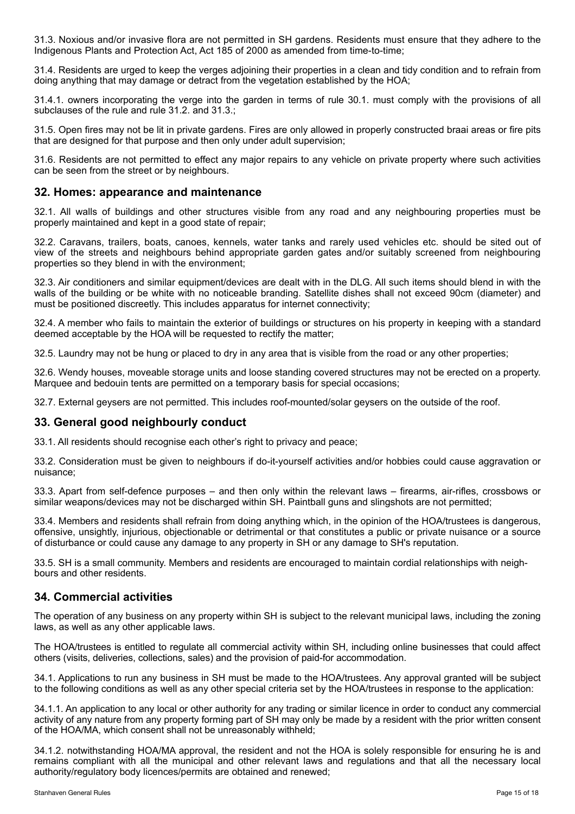31.3. Noxious and/or invasive flora are not permitted in SH gardens. Residents must ensure that they adhere to the Indigenous Plants and Protection Act, Act 185 of 2000 as amended from time-to-time;

31.4. Residents are urged to keep the verges adjoining their properties in a clean and tidy condition and to refrain from doing anything that may damage or detract from the vegetation established by the HOA;

31.4.1. owners incorporating the verge into the garden in terms of rule 30.1. must comply with the provisions of all subclauses of the rule and rule 31.2. and 31.3.;

31.5. Open fires may not be lit in private gardens. Fires are only allowed in properly constructed braai areas or fire pits that are designed for that purpose and then only under adult supervision;

31.6. Residents are not permitted to effect any major repairs to any vehicle on private property where such activities can be seen from the street or by neighbours.

#### **32. Homes: appearance and maintenance**

32.1. All walls of buildings and other structures visible from any road and any neighbouring properties must be properly maintained and kept in a good state of repair;

32.2. Caravans, trailers, boats, canoes, kennels, water tanks and rarely used vehicles etc. should be sited out of view of the streets and neighbours behind appropriate garden gates and/or suitably screened from neighbouring properties so they blend in with the environment;

32.3. Air conditioners and similar equipment/devices are dealt with in the DLG. All such items should blend in with the walls of the building or be white with no noticeable branding. Satellite dishes shall not exceed 90cm (diameter) and must be positioned discreetly. This includes apparatus for internet connectivity;

32.4. A member who fails to maintain the exterior of buildings or structures on his property in keeping with a standard deemed acceptable by the HOA will be requested to rectify the matter;

32.5. Laundry may not be hung or placed to dry in any area that is visible from the road or any other properties;

32.6. Wendy houses, moveable storage units and loose standing covered structures may not be erected on a property. Marquee and bedouin tents are permitted on a temporary basis for special occasions;

32.7. External geysers are not permitted. This includes roof-mounted/solar geysers on the outside of the roof.

#### **33. General good neighbourly conduct**

33.1. All residents should recognise each other's right to privacy and peace;

33.2. Consideration must be given to neighbours if do-it-vourself activities and/or hobbies could cause aggravation or nuisance;

33.3. Apart from self-defence purposes – and then only within the relevant laws – firearms, air-rifles, crossbows or similar weapons/devices may not be discharged within SH. Paintball guns and slingshots are not permitted;

33.4. Members and residents shall refrain from doing anything which, in the opinion of the HOA/trustees is dangerous, offensive, unsightly, injurious, objectionable or detrimental or that constitutes a public or private nuisance or a source of disturbance or could cause any damage to any property in SH or any damage to SH's reputation.

33.5. SH is a small community. Members and residents are encouraged to maintain cordial relationships with neighbours and other residents.

#### **34. Commercial activities**

The operation of any business on any property within SH is subject to the relevant municipal laws, including the zoning laws, as well as any other applicable laws.

The HOA/trustees is entitled to regulate all commercial activity within SH, including online businesses that could affect others (visits, deliveries, collections, sales) and the provision of paid-for accommodation.

34.1. Applications to run any business in SH must be made to the HOA/trustees. Any approval granted will be subject to the following conditions as well as any other special criteria set by the HOA/trustees in response to the application:

34.1.1. An application to any local or other authority for any trading or similar licence in order to conduct any commercial activity of any nature from any property forming part of SH may only be made by a resident with the prior written consent of the HOA/MA, which consent shall not be unreasonably withheld;

34.1.2. notwithstanding HOA/MA approval, the resident and not the HOA is solely responsible for ensuring he is and remains compliant with all the municipal and other relevant laws and regulations and that all the necessary local authority/regulatory body licences/permits are obtained and renewed;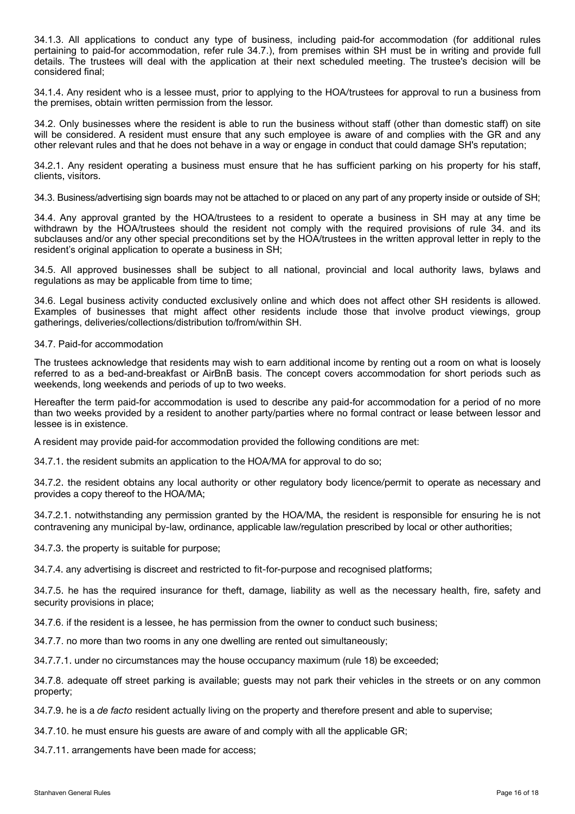34.1.3. All applications to conduct any type of business, including paid-for accommodation (for additional rules pertaining to paid-for accommodation, refer rule 34.7.), from premises within SH must be in writing and provide full details. The trustees will deal with the application at their next scheduled meeting. The trustee's decision will be considered final;

34.1.4. Any resident who is a lessee must, prior to applying to the HOA/trustees for approval to run a business from the premises, obtain written permission from the lessor.

34.2. Only businesses where the resident is able to run the business without staff (other than domestic staff) on site will be considered. A resident must ensure that any such employee is aware of and complies with the GR and any other relevant rules and that he does not behave in a way or engage in conduct that could damage SH's reputation;

34.2.1. Any resident operating a business must ensure that he has sufficient parking on his property for his staff, clients, visitors.

34.3. Business/advertising sign boards may not be attached to or placed on any part of any property inside or outside of SH;

34.4. Any approval granted by the HOA/trustees to a resident to operate a business in SH may at any time be withdrawn by the HOA/trustees should the resident not comply with the required provisions of rule 34. and its subclauses and/or any other special preconditions set by the HOA/trustees in the written approval letter in reply to the resident's original application to operate a business in SH;

34.5. All approved businesses shall be subject to all national, provincial and local authority laws, bylaws and regulations as may be applicable from time to time;

34.6. Legal business activity conducted exclusively online and which does not affect other SH residents is allowed. Examples of businesses that might affect other residents include those that involve product viewings, group gatherings, deliveries/collections/distribution to/from/within SH.

#### 34.7. Paid-for accommodation

The trustees acknowledge that residents may wish to earn additional income by renting out a room on what is loosely referred to as a bed-and-breakfast or AirBnB basis. The concept covers accommodation for short periods such as weekends, long weekends and periods of up to two weeks.

Hereafter the term paid-for accommodation is used to describe any paid-for accommodation for a period of no more than two weeks provided by a resident to another party/parties where no formal contract or lease between lessor and lessee is in existence.

A resident may provide paid-for accommodation provided the following conditions are met:

34.7.1. the resident submits an application to the HOA/MA for approval to do so;

34.7.2. the resident obtains any local authority or other regulatory body licence/permit to operate as necessary and provides a copy thereof to the HOA/MA;

34.7.2.1. notwithstanding any permission granted by the HOA/MA, the resident is responsible for ensuring he is not contravening any municipal by-law, ordinance, applicable law/regulation prescribed by local or other authorities;

34.7.3. the property is suitable for purpose;

34.7.4. any advertising is discreet and restricted to fit-for-purpose and recognised platforms;

34.7.5. he has the required insurance for theft, damage, liability as well as the necessary health, fire, safety and security provisions in place;

34.7.6. if the resident is a lessee, he has permission from the owner to conduct such business;

34.7.7. no more than two rooms in any one dwelling are rented out simultaneously;

34.7.7.1. under no circumstances may the house occupancy maximum (rule 18) be exceeded;

34.7.8. adequate off street parking is available; guests may not park their vehicles in the streets or on any common property;

34.7.9. he is a *de facto* resident actually living on the property and therefore present and able to supervise;

34.7.10. he must ensure his guests are aware of and comply with all the applicable GR;

34.7.11. arrangements have been made for access;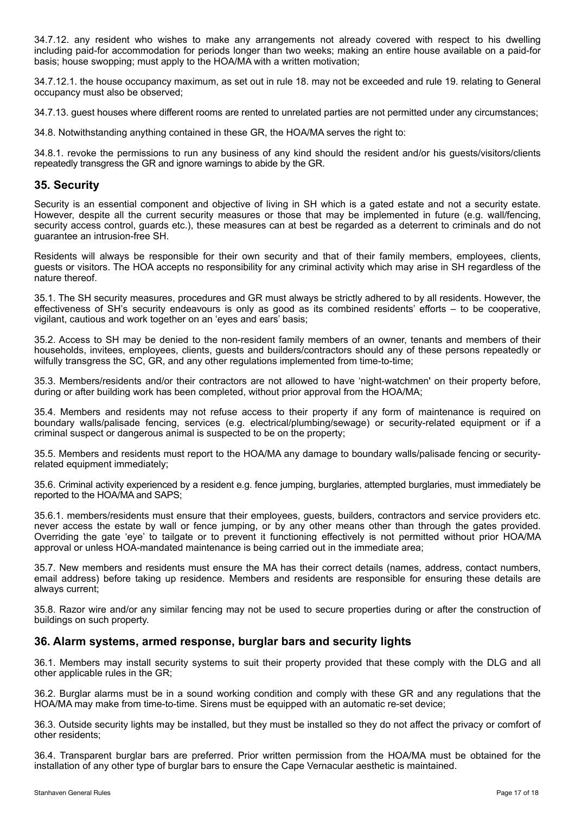34.7.12. any resident who wishes to make any arrangements not already covered with respect to his dwelling including paid-for accommodation for periods longer than two weeks; making an entire house available on a paid-for basis; house swopping; must apply to the HOA/MA with a written motivation;

34.7.12.1. the house occupancy maximum, as set out in rule 18. may not be exceeded and rule 19. relating to General occupancy must also be observed;

34.7.13. guest houses where different rooms are rented to unrelated parties are not permitted under any circumstances;

34.8. Notwithstanding anything contained in these GR, the HOA/MA serves the right to:

34.8.1. revoke the permissions to run any business of any kind should the resident and/or his guests/visitors/clients repeatedly transgress the GR and ignore warnings to abide by the GR.

#### **35. Security**

Security is an essential component and objective of living in SH which is a gated estate and not a security estate. However, despite all the current security measures or those that may be implemented in future (e.g. wall/fencing, security access control, guards etc.), these measures can at best be regarded as a deterrent to criminals and do not guarantee an intrusion-free SH.

Residents will always be responsible for their own security and that of their family members, employees, clients, guests or visitors. The HOA accepts no responsibility for any criminal activity which may arise in SH regardless of the nature thereof.

35.1. The SH security measures, procedures and GR must always be strictly adhered to by all residents. However, the effectiveness of SH's security endeavours is only as good as its combined residents' efforts – to be cooperative, vigilant, cautious and work together on an 'eyes and ears' basis;

35.2. Access to SH may be denied to the non-resident family members of an owner, tenants and members of their households, invitees, employees, clients, guests and builders/contractors should any of these persons repeatedly or wilfully transgress the SC, GR, and any other regulations implemented from time-to-time;

35.3. Members/residents and/or their contractors are not allowed to have 'night-watchmen' on their property before, during or after building work has been completed, without prior approval from the HOA/MA;

35.4. Members and residents may not refuse access to their property if any form of maintenance is required on boundary walls/palisade fencing, services (e.g. electrical/plumbing/sewage) or security-related equipment or if a criminal suspect or dangerous animal is suspected to be on the property;

35.5. Members and residents must report to the HOA/MA any damage to boundary walls/palisade fencing or securityrelated equipment immediately;

35.6. Criminal activity experienced by a resident e.g. fence jumping, burglaries, attempted burglaries, must immediately be reported to the HOA/MA and SAPS;

35.6.1. members/residents must ensure that their employees, guests, builders, contractors and service providers etc. never access the estate by wall or fence jumping, or by any other means other than through the gates provided. Overriding the gate 'eye' to tailgate or to prevent it functioning effectively is not permitted without prior HOA/MA approval or unless HOA-mandated maintenance is being carried out in the immediate area;

35.7. New members and residents must ensure the MA has their correct details (names, address, contact numbers, email address) before taking up residence. Members and residents are responsible for ensuring these details are always current;

35.8. Razor wire and/or any similar fencing may not be used to secure properties during or after the construction of buildings on such property.

#### **36. Alarm systems, armed response, burglar bars and security lights**

36.1. Members may install security systems to suit their property provided that these comply with the DLG and all other applicable rules in the GR;

36.2. Burglar alarms must be in a sound working condition and comply with these GR and any regulations that the HOA/MA may make from time-to-time. Sirens must be equipped with an automatic re-set device;

36.3. Outside security lights may be installed, but they must be installed so they do not affect the privacy or comfort of other residents;

36.4. Transparent burglar bars are preferred. Prior written permission from the HOA/MA must be obtained for the installation of any other type of burglar bars to ensure the Cape Vernacular aesthetic is maintained.